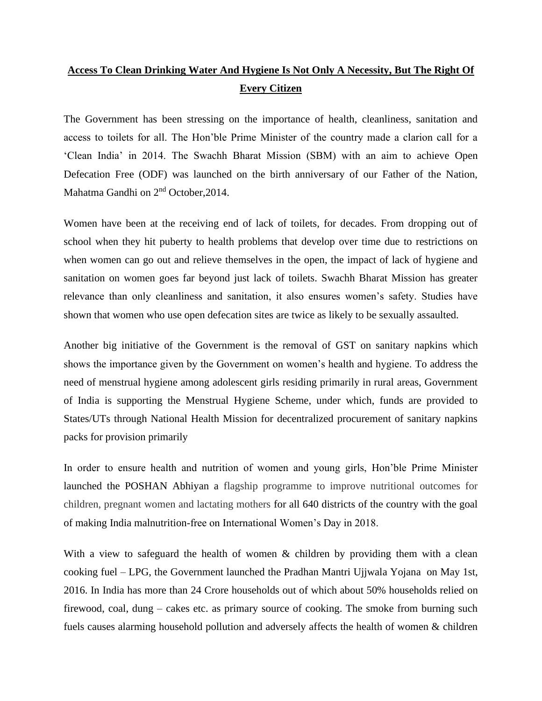## **Access To Clean Drinking Water And Hygiene Is Not Only A Necessity, But The Right Of Every Citizen**

The Government has been stressing on the importance of health, cleanliness, sanitation and access to toilets for all. The Hon'ble Prime Minister of the country made a clarion call for a 'Clean India' in 2014. The Swachh Bharat Mission (SBM) with an aim to achieve Open Defecation Free (ODF) was launched on the birth anniversary of our Father of the Nation, Mahatma Gandhi on 2nd October,2014.

Women have been at the receiving end of lack of toilets, for decades. From dropping out of school when they hit puberty to health problems that develop over time due to restrictions on when women can go out and relieve themselves in the open, the impact of lack of hygiene and sanitation on women goes far beyond just lack of toilets. Swachh Bharat Mission has greater relevance than only cleanliness and sanitation, it also ensures women's safety. Studies have shown that women who use open defecation sites are twice as likely to be sexually assaulted.

Another big initiative of the Government is the removal of GST on sanitary napkins which shows the importance given by the Government on women's health and hygiene. To address the need of menstrual hygiene among adolescent girls residing primarily in rural areas, Government of India is supporting the Menstrual Hygiene Scheme, under which, funds are provided to States/UTs through National Health Mission for decentralized procurement of sanitary napkins packs for provision primarily

In order to ensure health and nutrition of women and young girls, Hon'ble Prime Minister launched the POSHAN Abhiyan a flagship programme to improve nutritional outcomes for children, pregnant women and lactating mothers for all 640 districts of the country with the goal of making India malnutrition-free on International Women's Day in 2018.

With a view to safeguard the health of women & children by providing them with a clean cooking fuel – LPG, the Government launched the Pradhan Mantri Ujjwala Yojana on May 1st, 2016. In India has more than 24 Crore households out of which about 50% households relied on firewood, coal, dung – cakes etc. as primary source of cooking. The smoke from burning such fuels causes alarming household pollution and adversely affects the health of women & children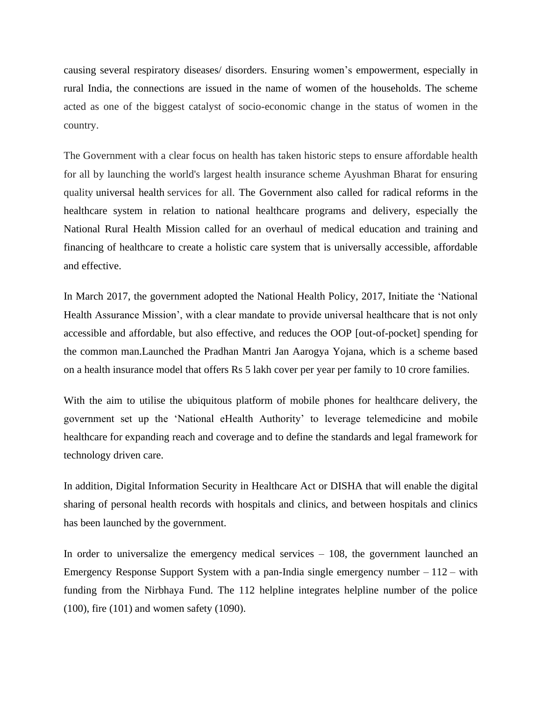causing several respiratory diseases/ disorders. Ensuring women's empowerment, especially in rural India, the connections are issued in the name of women of the households. The scheme acted as one of the biggest catalyst of socio-economic change in the status of women in the country.

The Government with a clear focus on health has taken historic steps to ensure affordable health for all by launching the world's largest health insurance scheme Ayushman Bharat for ensuring quality [universal health](https://www.livemint.com/politics/news/will-modi-2-deliver-universal-healthcare-1559624733468.html) services for all. The Government also called for radical reforms in the healthcare system in relation to national healthcare programs and delivery, especially the National Rural Health Mission called for an overhaul of medical education and training and financing of healthcare to create a holistic care system that is universally accessible, affordable and effective.

In March 2017, the government adopted the National Health Policy, 2017, Initiate the 'National Health Assurance Mission', with a clear mandate to provide universal healthcare that is not only accessible and affordable, but also effective, and reduces the OOP [out-of-pocket] spending for the common man.Launched the Pradhan Mantri Jan Aarogya Yojana, which is a scheme based on a health insurance model that offers Rs 5 lakh cover per year per family to 10 crore families.

With the aim to utilise the ubiquitous platform of mobile phones for healthcare delivery, the government set up the 'National eHealth Authority' to leverage telemedicine and mobile healthcare for expanding reach and coverage and to define the standards and legal framework for technology driven care.

In addition, Digital Information Security in Healthcare Act or DISHA that will enable the digital sharing of personal health records with hospitals and clinics, and between hospitals and clinics has been launched by the government.

In order to universalize the emergency medical services – 108, the government launched an Emergency Response Support System with a pan-India single emergency number  $-112 - \text{with}$  $-112 - \text{with}$  $-112 - \text{with}$ funding from the Nirbhaya Fund. The 112 helpline integrates helpline number of the police (100), fire (101) and women safety (1090).